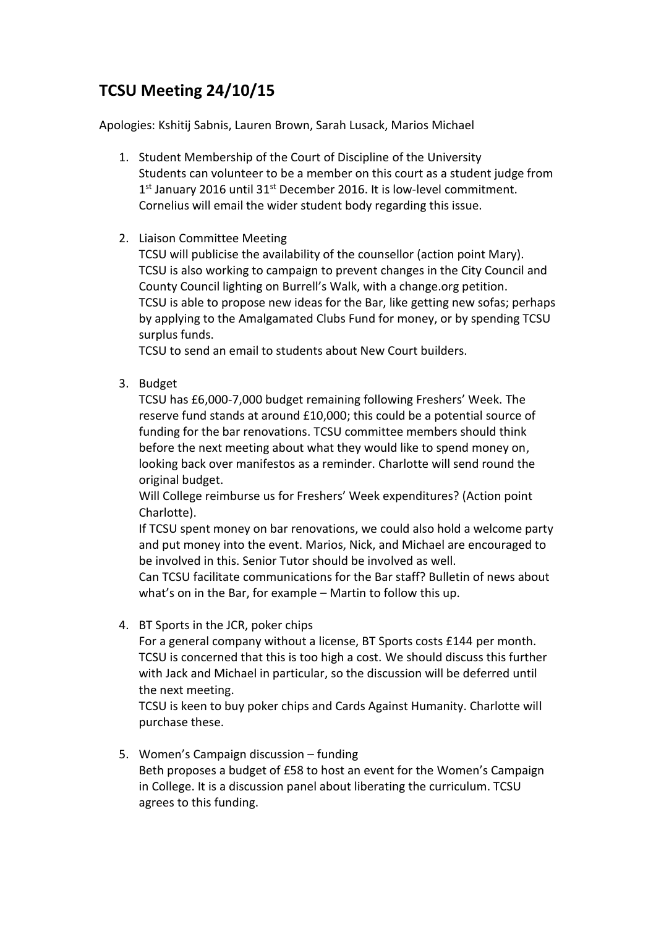# **TCSU Meeting 24/10/15**

Apologies: Kshitij Sabnis, Lauren Brown, Sarah Lusack, Marios Michael

- 1. Student Membership of the Court of Discipline of the University Students can volunteer to be a member on this court as a student judge from 1<sup>st</sup> January 2016 until 31<sup>st</sup> December 2016. It is low-level commitment. Cornelius will email the wider student body regarding this issue.
- 2. Liaison Committee Meeting

TCSU will publicise the availability of the counsellor (action point Mary). TCSU is also working to campaign to prevent changes in the City Council and County Council lighting on Burrell's Walk, with a change.org petition. TCSU is able to propose new ideas for the Bar, like getting new sofas; perhaps by applying to the Amalgamated Clubs Fund for money, or by spending TCSU surplus funds.

TCSU to send an email to students about New Court builders.

3. Budget

TCSU has £6,000-7,000 budget remaining following Freshers' Week. The reserve fund stands at around £10,000; this could be a potential source of funding for the bar renovations. TCSU committee members should think before the next meeting about what they would like to spend money on, looking back over manifestos as a reminder. Charlotte will send round the original budget.

Will College reimburse us for Freshers' Week expenditures? (Action point Charlotte).

If TCSU spent money on bar renovations, we could also hold a welcome party and put money into the event. Marios, Nick, and Michael are encouraged to be involved in this. Senior Tutor should be involved as well.

Can TCSU facilitate communications for the Bar staff? Bulletin of news about what's on in the Bar, for example – Martin to follow this up.

4. BT Sports in the JCR, poker chips

For a general company without a license, BT Sports costs £144 per month. TCSU is concerned that this is too high a cost. We should discuss this further with Jack and Michael in particular, so the discussion will be deferred until the next meeting.

TCSU is keen to buy poker chips and Cards Against Humanity. Charlotte will purchase these.

5. Women's Campaign discussion – funding Beth proposes a budget of £58 to host an event for the Women's Campaign in College. It is a discussion panel about liberating the curriculum. TCSU agrees to this funding.